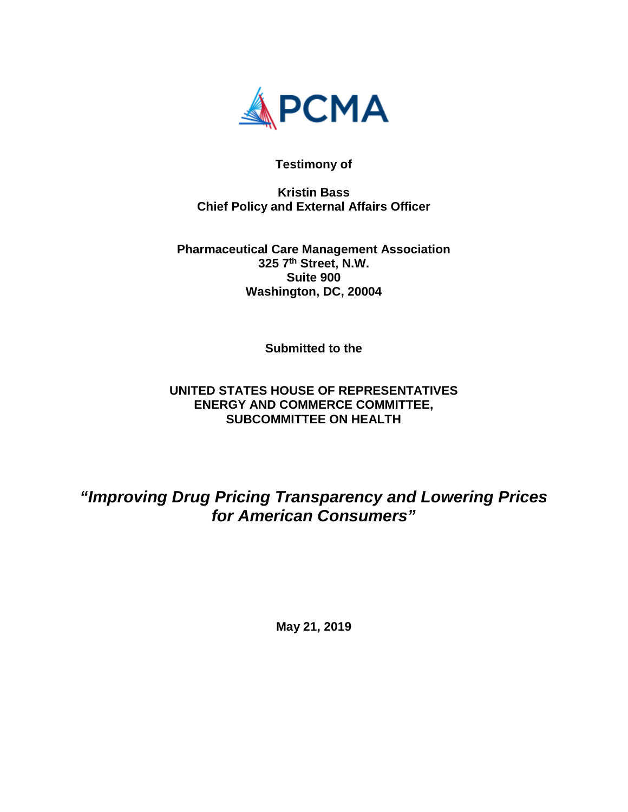

**Testimony of**

**Kristin Bass Chief Policy and External Affairs Officer**

**Pharmaceutical Care Management Association 325 7th Street, N.W. Suite 900 Washington, DC, 20004**

**Submitted to the** 

# **UNITED STATES HOUSE OF REPRESENTATIVES ENERGY AND COMMERCE COMMITTEE, SUBCOMMITTEE ON HEALTH**

*"Improving Drug Pricing Transparency and Lowering Prices for American Consumers"*

**May 21, 2019**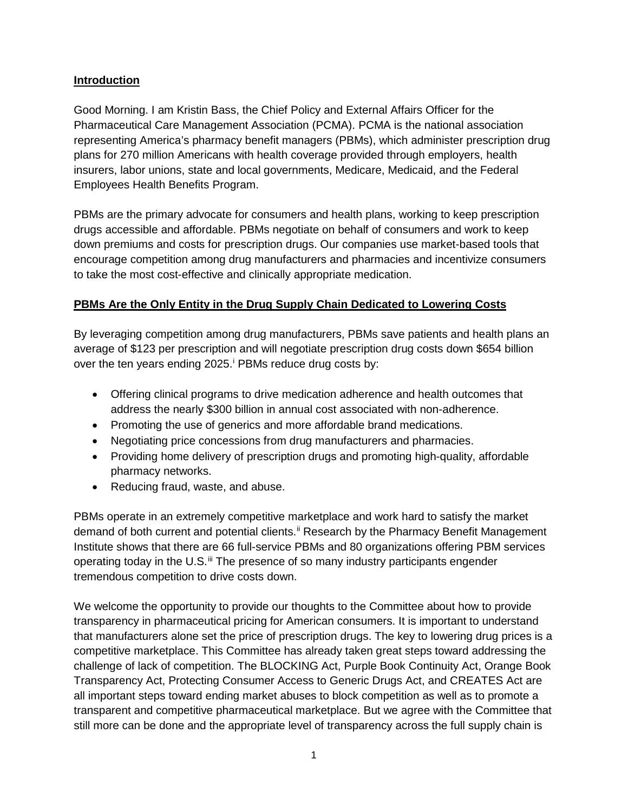# **Introduction**

Good Morning. I am Kristin Bass, the Chief Policy and External Affairs Officer for the Pharmaceutical Care Management Association (PCMA). PCMA is the national association representing America's pharmacy benefit managers (PBMs), which administer prescription drug plans for 270 million Americans with health coverage provided through employers, health insurers, labor unions, state and local governments, Medicare, Medicaid, and the Federal Employees Health Benefits Program.

PBMs are the primary advocate for consumers and health plans, working to keep prescription drugs accessible and affordable. PBMs negotiate on behalf of consumers and work to keep down premiums and costs for prescription drugs. Our companies use market-based tools that encourage competition among drug manufacturers and pharmacies and incentivize consumers to take the most cost-effective and clinically appropriate medication.

# **PBMs Are the Only Entity in the Drug Supply Chain Dedicated to Lowering Costs**

By leveraging competition among drug manufacturers, PBMs save patients and health plans an average of \$123 per prescription and will negotiate prescription drug costs down \$654 billion over the ten years end[i](#page-6-0)ng 2025.<sup>i</sup> PBMs reduce drug costs by:

- Offering clinical programs to drive medication adherence and health outcomes that address the nearly \$300 billion in annual cost associated with non-adherence.
- Promoting the use of generics and more affordable brand medications.
- Negotiating price concessions from drug manufacturers and pharmacies.
- Providing home delivery of prescription drugs and promoting high-quality, affordable pharmacy networks.
- Reducing fraud, waste, and abuse.

PBMs operate in an extremely competitive marketplace and work hard to satisfy the market demand of both current and potential clients.<sup>[ii](#page-6-1)</sup> Research by the Pharmacy Benefit Management Institute shows that there are 66 full-service PBMs and 80 organizations offering PBM services operating today in the  $U.S.<sup>iii</sup>$  $U.S.<sup>iii</sup>$  $U.S.<sup>iii</sup>$  The presence of so many industry participants engender tremendous competition to drive costs down.

We welcome the opportunity to provide our thoughts to the Committee about how to provide transparency in pharmaceutical pricing for American consumers. It is important to understand that manufacturers alone set the price of prescription drugs. The key to lowering drug prices is a competitive marketplace. This Committee has already taken great steps toward addressing the challenge of lack of competition. The BLOCKING Act, Purple Book Continuity Act, Orange Book Transparency Act, Protecting Consumer Access to Generic Drugs Act, and CREATES Act are all important steps toward ending market abuses to block competition as well as to promote a transparent and competitive pharmaceutical marketplace. But we agree with the Committee that still more can be done and the appropriate level of transparency across the full supply chain is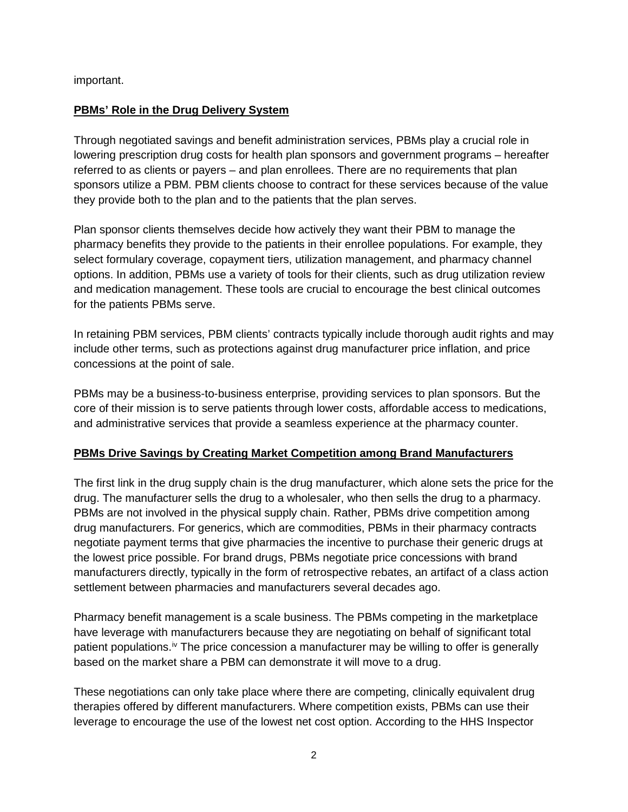important.

#### **PBMs' Role in the Drug Delivery System**

Through negotiated savings and benefit administration services, PBMs play a crucial role in lowering prescription drug costs for health plan sponsors and government programs – hereafter referred to as clients or payers – and plan enrollees. There are no requirements that plan sponsors utilize a PBM. PBM clients choose to contract for these services because of the value they provide both to the plan and to the patients that the plan serves.

Plan sponsor clients themselves decide how actively they want their PBM to manage the pharmacy benefits they provide to the patients in their enrollee populations. For example, they select formulary coverage, copayment tiers, utilization management, and pharmacy channel options. In addition, PBMs use a variety of tools for their clients, such as drug utilization review and medication management. These tools are crucial to encourage the best clinical outcomes for the patients PBMs serve.

In retaining PBM services, PBM clients' contracts typically include thorough audit rights and may include other terms, such as protections against drug manufacturer price inflation, and price concessions at the point of sale.

PBMs may be a business-to-business enterprise, providing services to plan sponsors. But the core of their mission is to serve patients through lower costs, affordable access to medications, and administrative services that provide a seamless experience at the pharmacy counter.

# **PBMs Drive Savings by Creating Market Competition among Brand Manufacturers**

The first link in the drug supply chain is the drug manufacturer, which alone sets the price for the drug. The manufacturer sells the drug to a wholesaler, who then sells the drug to a pharmacy. PBMs are not involved in the physical supply chain. Rather, PBMs drive competition among drug manufacturers. For generics, which are commodities, PBMs in their pharmacy contracts negotiate payment terms that give pharmacies the incentive to purchase their generic drugs at the lowest price possible. For brand drugs, PBMs negotiate price concessions with brand manufacturers directly, typically in the form of retrospective rebates, an artifact of a class action settlement between pharmacies and manufacturers several decades ago.

Pharmacy benefit management is a scale business. The PBMs competing in the marketplace have leverage with manufacturers because they are negotiating on behalf of significant total patient populations.<sup>[iv](#page-6-3)</sup> The price concession a manufacturer may be willing to offer is generally based on the market share a PBM can demonstrate it will move to a drug.

These negotiations can only take place where there are competing, clinically equivalent drug therapies offered by different manufacturers. Where competition exists, PBMs can use their leverage to encourage the use of the lowest net cost option. According to the HHS Inspector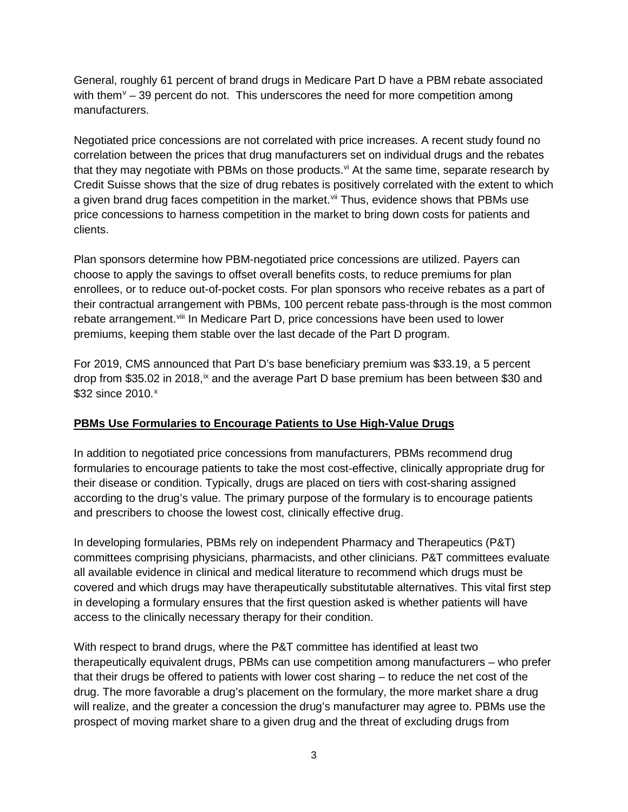General, roughly 61 percent of brand drugs in Medicare Part D have a PBM rebate associated with them<sup> $v$ </sup> – 39 percent do not. This underscores the need for more competition among manufacturers.

Negotiated price concessions are not correlated with price increases. A recent study found no correlation between the prices that drug manufacturers set on individual drugs and the rebates that they may negotiate with PBMs on those products.  $\dot{v}$  At the same time, separate research by Credit Suisse shows that the size of drug rebates is positively correlated with the extent to which a given brand drug faces competition in the market.<sup>[vii](#page-6-6)</sup> Thus, evidence shows that PBMs use price concessions to harness competition in the market to bring down costs for patients and clients.

Plan sponsors determine how PBM-negotiated price concessions are utilized. Payers can choose to apply the savings to offset overall benefits costs, to reduce premiums for plan enrollees, or to reduce out-of-pocket costs. For plan sponsors who receive rebates as a part of their contractual arrangement with PBMs, 100 percent rebate pass-through is the most common rebate arrangement.[viii](#page-6-7) In Medicare Part D, price concessions have been used to lower premiums, keeping them stable over the last decade of the Part D program.

For 2019, CMS announced that Part D's base beneficiary premium was \$33.19, a 5 percent drop from \$35.02 in 2018,<sup>[ix](#page-6-8)</sup> and the average Part D base premium has been between \$30 and \$32 since 2010.<sup>[x](#page-6-9)</sup>

# **PBMs Use Formularies to Encourage Patients to Use High-Value Drugs**

In addition to negotiated price concessions from manufacturers, PBMs recommend drug formularies to encourage patients to take the most cost-effective, clinically appropriate drug for their disease or condition. Typically, drugs are placed on tiers with cost-sharing assigned according to the drug's value. The primary purpose of the formulary is to encourage patients and prescribers to choose the lowest cost, clinically effective drug.

In developing formularies, PBMs rely on independent Pharmacy and Therapeutics (P&T) committees comprising physicians, pharmacists, and other clinicians. P&T committees evaluate all available evidence in clinical and medical literature to recommend which drugs must be covered and which drugs may have therapeutically substitutable alternatives. This vital first step in developing a formulary ensures that the first question asked is whether patients will have access to the clinically necessary therapy for their condition.

With respect to brand drugs, where the P&T committee has identified at least two therapeutically equivalent drugs, PBMs can use competition among manufacturers – who prefer that their drugs be offered to patients with lower cost sharing – to reduce the net cost of the drug. The more favorable a drug's placement on the formulary, the more market share a drug will realize, and the greater a concession the drug's manufacturer may agree to. PBMs use the prospect of moving market share to a given drug and the threat of excluding drugs from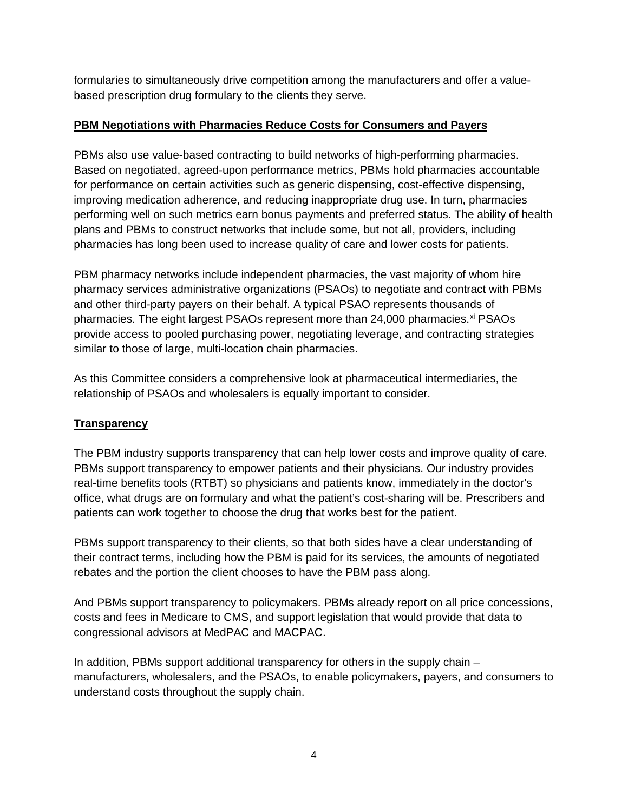formularies to simultaneously drive competition among the manufacturers and offer a valuebased prescription drug formulary to the clients they serve.

#### **PBM Negotiations with Pharmacies Reduce Costs for Consumers and Payers**

PBMs also use value-based contracting to build networks of high-performing pharmacies. Based on negotiated, agreed-upon performance metrics, PBMs hold pharmacies accountable for performance on certain activities such as generic dispensing, cost-effective dispensing, improving medication adherence, and reducing inappropriate drug use. In turn, pharmacies performing well on such metrics earn bonus payments and preferred status. The ability of health plans and PBMs to construct networks that include some, but not all, providers, including pharmacies has long been used to increase quality of care and lower costs for patients.

PBM pharmacy networks include independent pharmacies, the vast majority of whom hire pharmacy services administrative organizations (PSAOs) to negotiate and contract with PBMs and other third-party payers on their behalf. A typical PSAO represents thousands of pharmacies. The eight largest PSAOs represent more than 24,000 pharmacies.<sup>[xi](#page-6-10)</sup> PSAOs provide access to pooled purchasing power, negotiating leverage, and contracting strategies similar to those of large, multi-location chain pharmacies.

As this Committee considers a comprehensive look at pharmaceutical intermediaries, the relationship of PSAOs and wholesalers is equally important to consider.

# **Transparency**

The PBM industry supports transparency that can help lower costs and improve quality of care. PBMs support transparency to empower patients and their physicians. Our industry provides real-time benefits tools (RTBT) so physicians and patients know, immediately in the doctor's office, what drugs are on formulary and what the patient's cost-sharing will be. Prescribers and patients can work together to choose the drug that works best for the patient.

PBMs support transparency to their clients, so that both sides have a clear understanding of their contract terms, including how the PBM is paid for its services, the amounts of negotiated rebates and the portion the client chooses to have the PBM pass along.

And PBMs support transparency to policymakers. PBMs already report on all price concessions, costs and fees in Medicare to CMS, and support legislation that would provide that data to congressional advisors at MedPAC and MACPAC.

In addition, PBMs support additional transparency for others in the supply chain – manufacturers, wholesalers, and the PSAOs, to enable policymakers, payers, and consumers to understand costs throughout the supply chain.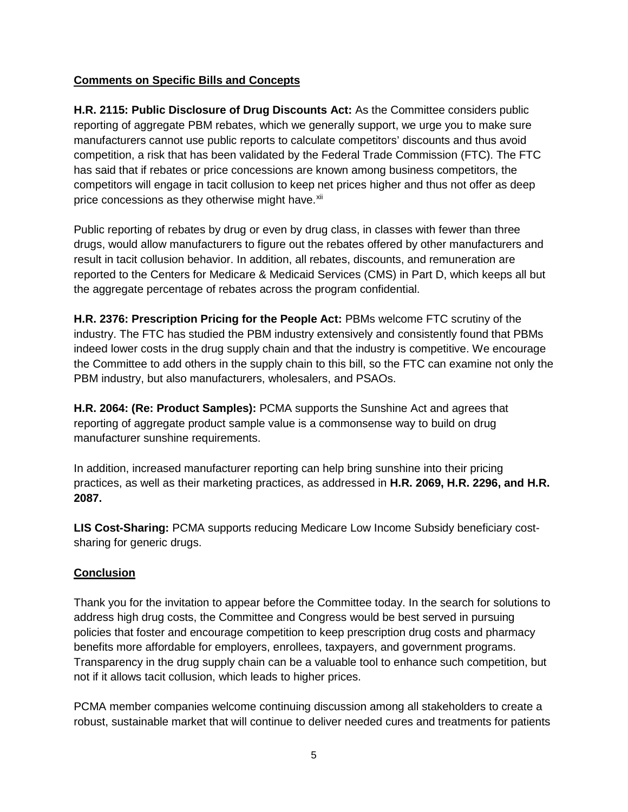#### **Comments on Specific Bills and Concepts**

**H.R. 2115: Public Disclosure of Drug Discounts Act:** As the Committee considers public reporting of aggregate PBM rebates, which we generally support, we urge you to make sure manufacturers cannot use public reports to calculate competitors' discounts and thus avoid competition, a risk that has been validated by the Federal Trade Commission (FTC). The FTC has said that if rebates or price concessions are known among business competitors, the competitors will engage in tacit collusion to keep net prices higher and thus not offer as deep price concessions as they otherwise might have.<sup>[xii](#page-6-11)</sup>

Public reporting of rebates by drug or even by drug class, in classes with fewer than three drugs, would allow manufacturers to figure out the rebates offered by other manufacturers and result in tacit collusion behavior. In addition, all rebates, discounts, and remuneration are reported to the Centers for Medicare & Medicaid Services (CMS) in Part D, which keeps all but the aggregate percentage of rebates across the program confidential.

**H.R. 2376: Prescription Pricing for the People Act:** PBMs welcome FTC scrutiny of the industry. The FTC has studied the PBM industry extensively and consistently found that PBMs indeed lower costs in the drug supply chain and that the industry is competitive. We encourage the Committee to add others in the supply chain to this bill, so the FTC can examine not only the PBM industry, but also manufacturers, wholesalers, and PSAOs.

**H.R. 2064: (Re: Product Samples):** PCMA supports the Sunshine Act and agrees that reporting of aggregate product sample value is a commonsense way to build on drug manufacturer sunshine requirements.

In addition, increased manufacturer reporting can help bring sunshine into their pricing practices, as well as their marketing practices, as addressed in **H.R. 2069, H.R. 2296, and H.R. 2087.**

**LIS Cost-Sharing:** PCMA supports reducing Medicare Low Income Subsidy beneficiary costsharing for generic drugs.

# **Conclusion**

Thank you for the invitation to appear before the Committee today. In the search for solutions to address high drug costs, the Committee and Congress would be best served in pursuing policies that foster and encourage competition to keep prescription drug costs and pharmacy benefits more affordable for employers, enrollees, taxpayers, and government programs. Transparency in the drug supply chain can be a valuable tool to enhance such competition, but not if it allows tacit collusion, which leads to higher prices.

PCMA member companies welcome continuing discussion among all stakeholders to create a robust, sustainable market that will continue to deliver needed cures and treatments for patients